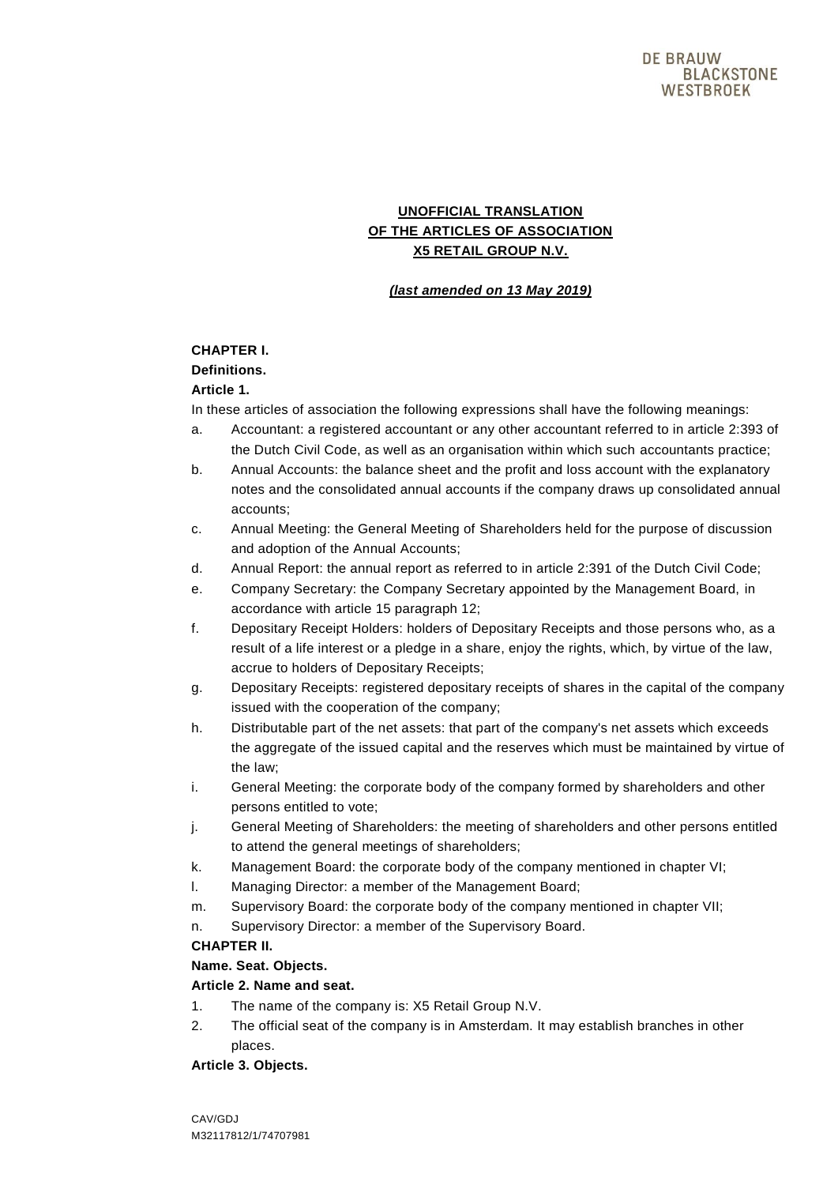# **UNOFFICIAL TRANSLATION OF THE ARTICLES OF ASSOCIATION X5 RETAIL GROUP N.V.**

## *(last amended on 13 May 2019)*

## **CHAPTER I.**

## **Definitions.**

## **Article 1.**

In these articles of association the following expressions shall have the following meanings:

- a. Accountant: a registered accountant or any other accountant referred to in article 2:393 of the Dutch Civil Code, as well as an organisation within which such accountants practice;
- b. Annual Accounts: the balance sheet and the profit and loss account with the explanatory notes and the consolidated annual accounts if the company draws up consolidated annual accounts;
- c. Annual Meeting: the General Meeting of Shareholders held for the purpose of discussion and adoption of the Annual Accounts;
- d. Annual Report: the annual report as referred to in article 2:391 of the Dutch Civil Code;
- e. Company Secretary: the Company Secretary appointed by the Management Board, in accordance with article 15 paragraph 12;
- f. Depositary Receipt Holders: holders of Depositary Receipts and those persons who, as a result of a life interest or a pledge in a share, enjoy the rights, which, by virtue of the law, accrue to holders of Depositary Receipts;
- g. Depositary Receipts: registered depositary receipts of shares in the capital of the company issued with the cooperation of the company;
- h. Distributable part of the net assets: that part of the company's net assets which exceeds the aggregate of the issued capital and the reserves which must be maintained by virtue of the law;
- i. General Meeting: the corporate body of the company formed by shareholders and other persons entitled to vote;
- j. General Meeting of Shareholders: the meeting of shareholders and other persons entitled to attend the general meetings of shareholders;
- k. Management Board: the corporate body of the company mentioned in chapter VI;
- l. Managing Director: a member of the Management Board;
- m. Supervisory Board: the corporate body of the company mentioned in chapter VII;
- n. Supervisory Director: a member of the Supervisory Board.

## **CHAPTER II.**

## **Name. Seat. Objects.**

## **Article 2. Name and seat.**

- 1. The name of the company is: X5 Retail Group N.V.
- 2. The official seat of the company is in Amsterdam. It may establish branches in other places.

## **Article 3. Objects.**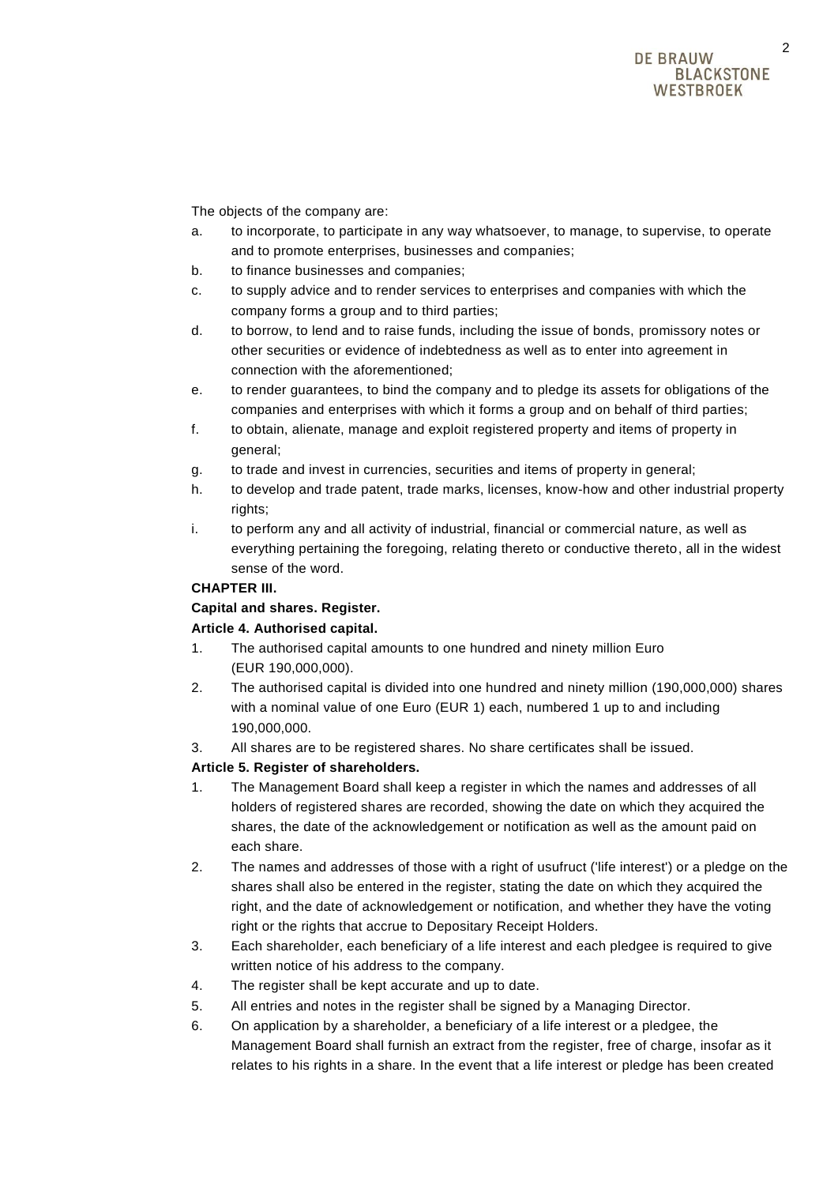The objects of the company are:

- a. to incorporate, to participate in any way whatsoever, to manage, to supervise, to operate and to promote enterprises, businesses and companies;
- b. to finance businesses and companies;
- c. to supply advice and to render services to enterprises and companies with which the company forms a group and to third parties;
- d. to borrow, to lend and to raise funds, including the issue of bonds, promissory notes or other securities or evidence of indebtedness as well as to enter into agreement in connection with the aforementioned;
- e. to render guarantees, to bind the company and to pledge its assets for obligations of the companies and enterprises with which it forms a group and on behalf of third parties;
- f. to obtain, alienate, manage and exploit registered property and items of property in general;
- g. to trade and invest in currencies, securities and items of property in general;
- h. to develop and trade patent, trade marks, licenses, know-how and other industrial property rights;
- i. to perform any and all activity of industrial, financial or commercial nature, as well as everything pertaining the foregoing, relating thereto or conductive thereto, all in the widest sense of the word.

## **CHAPTER III.**

# **Capital and shares. Register.**

## **Article 4. Authorised capital.**

- 1. The authorised capital amounts to one hundred and ninety million Euro (EUR 190,000,000).
- 2. The authorised capital is divided into one hundred and ninety million (190,000,000) shares with a nominal value of one Euro (EUR 1) each, numbered 1 up to and including 190,000,000.
- 3. All shares are to be registered shares. No share certificates shall be issued.

## **Article 5. Register of shareholders.**

- 1. The Management Board shall keep a register in which the names and addresses of all holders of registered shares are recorded, showing the date on which they acquired the shares, the date of the acknowledgement or notification as well as the amount paid on each share.
- 2. The names and addresses of those with a right of usufruct ('life interest') or a pledge on the shares shall also be entered in the register, stating the date on which they acquired the right, and the date of acknowledgement or notification, and whether they have the voting right or the rights that accrue to Depositary Receipt Holders.
- 3. Each shareholder, each beneficiary of a life interest and each pledgee is required to give written notice of his address to the company.
- 4. The register shall be kept accurate and up to date.
- 5. All entries and notes in the register shall be signed by a Managing Director.
- 6. On application by a shareholder, a beneficiary of a life interest or a pledgee, the Management Board shall furnish an extract from the register, free of charge, insofar as it relates to his rights in a share. In the event that a life interest or pledge has been created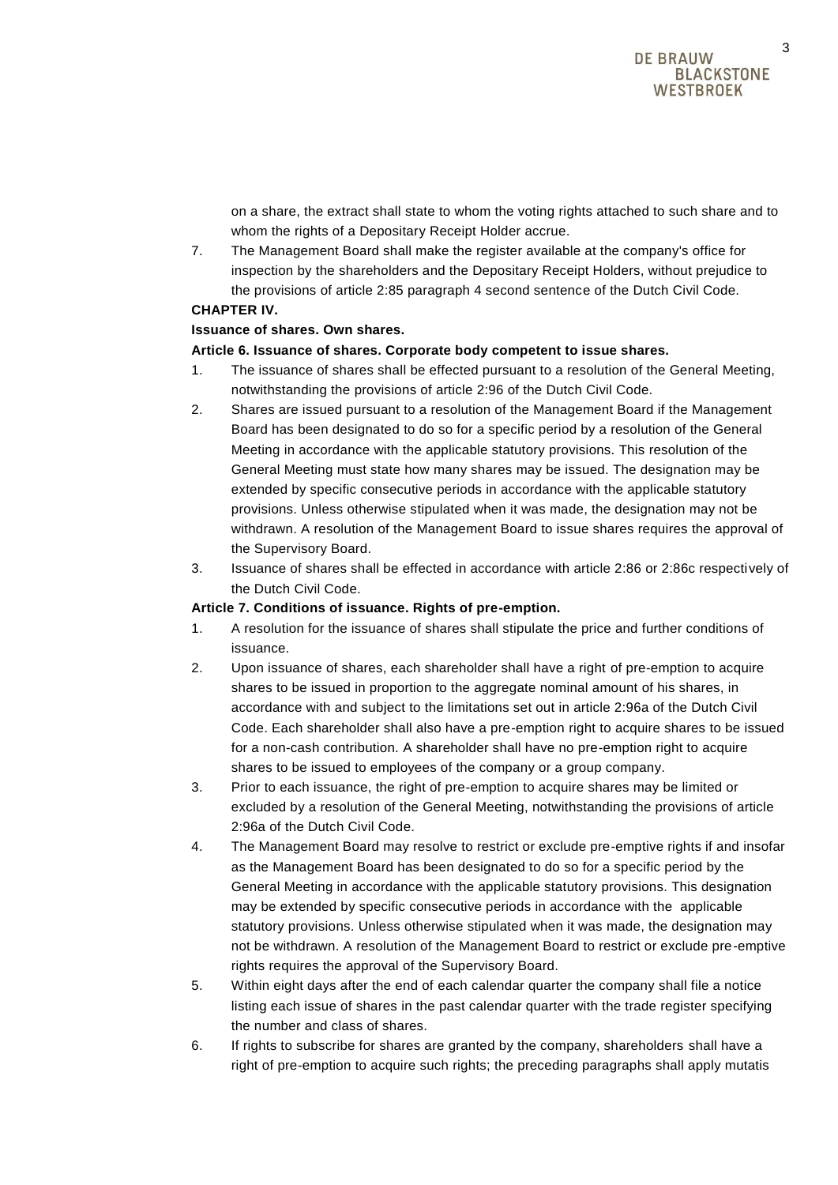on a share, the extract shall state to whom the voting rights attached to such share and to whom the rights of a Depositary Receipt Holder accrue.

7. The Management Board shall make the register available at the company's office for inspection by the shareholders and the Depositary Receipt Holders, without prejudice to the provisions of article 2:85 paragraph 4 second sentence of the Dutch Civil Code.

## **CHAPTER IV.**

## **Issuance of shares. Own shares.**

## **Article 6. Issuance of shares. Corporate body competent to issue shares.**

- 1. The issuance of shares shall be effected pursuant to a resolution of the General Meeting, notwithstanding the provisions of article 2:96 of the Dutch Civil Code.
- 2. Shares are issued pursuant to a resolution of the Management Board if the Management Board has been designated to do so for a specific period by a resolution of the General Meeting in accordance with the applicable statutory provisions. This resolution of the General Meeting must state how many shares may be issued. The designation may be extended by specific consecutive periods in accordance with the applicable statutory provisions. Unless otherwise stipulated when it was made, the designation may not be withdrawn. A resolution of the Management Board to issue shares requires the approval of the Supervisory Board.
- 3. Issuance of shares shall be effected in accordance with article 2:86 or 2:86c respectively of the Dutch Civil Code.

## **Article 7. Conditions of issuance. Rights of pre-emption.**

- 1. A resolution for the issuance of shares shall stipulate the price and further conditions of issuance.
- 2. Upon issuance of shares, each shareholder shall have a right of pre-emption to acquire shares to be issued in proportion to the aggregate nominal amount of his shares, in accordance with and subject to the limitations set out in article 2:96a of the Dutch Civil Code. Each shareholder shall also have a pre-emption right to acquire shares to be issued for a non-cash contribution. A shareholder shall have no pre-emption right to acquire shares to be issued to employees of the company or a group company.
- 3. Prior to each issuance, the right of pre-emption to acquire shares may be limited or excluded by a resolution of the General Meeting, notwithstanding the provisions of article 2:96a of the Dutch Civil Code.
- 4. The Management Board may resolve to restrict or exclude pre-emptive rights if and insofar as the Management Board has been designated to do so for a specific period by the General Meeting in accordance with the applicable statutory provisions. This designation may be extended by specific consecutive periods in accordance with the applicable statutory provisions. Unless otherwise stipulated when it was made, the designation may not be withdrawn. A resolution of the Management Board to restrict or exclude pre-emptive rights requires the approval of the Supervisory Board.
- 5. Within eight days after the end of each calendar quarter the company shall file a notice listing each issue of shares in the past calendar quarter with the trade register specifying the number and class of shares.
- 6. If rights to subscribe for shares are granted by the company, shareholders shall have a right of pre-emption to acquire such rights; the preceding paragraphs shall apply mutatis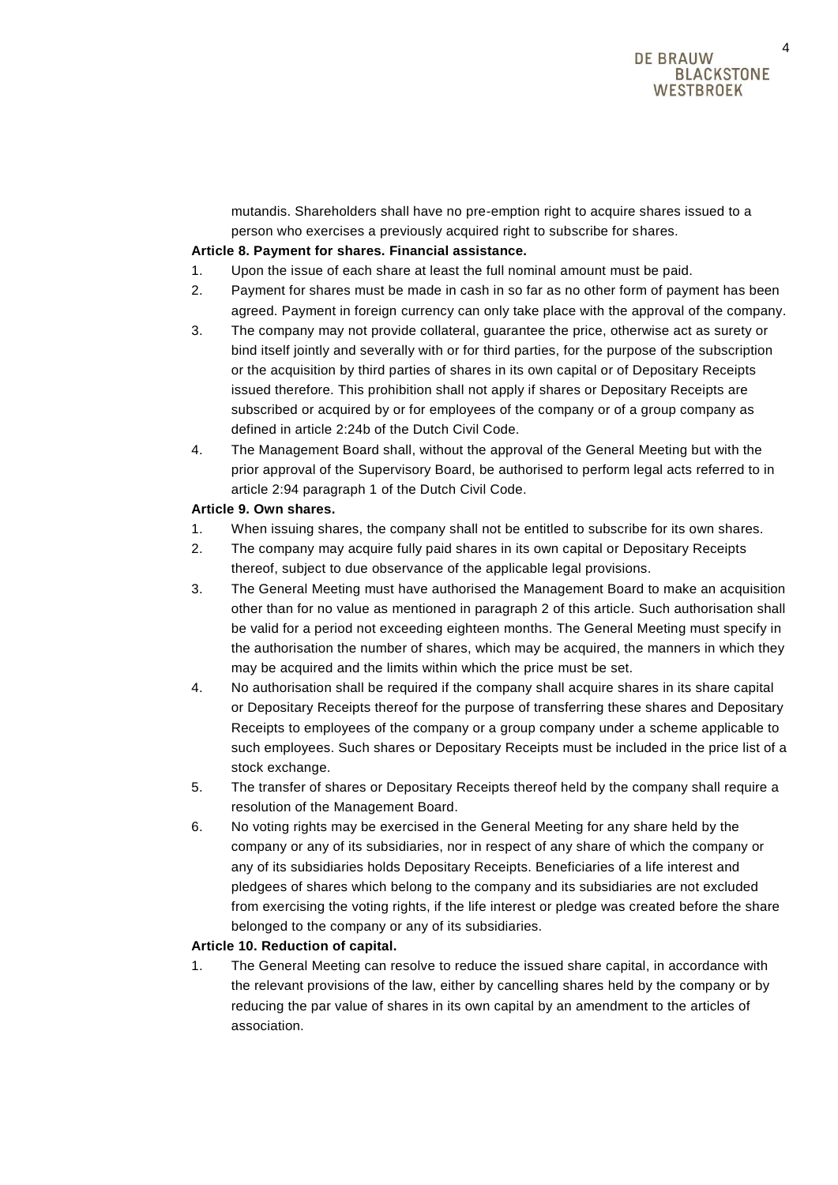mutandis. Shareholders shall have no pre-emption right to acquire shares issued to a person who exercises a previously acquired right to subscribe for shares.

#### **Article 8. Payment for shares. Financial assistance.**

- 1. Upon the issue of each share at least the full nominal amount must be paid.
- 2. Payment for shares must be made in cash in so far as no other form of payment has been agreed. Payment in foreign currency can only take place with the approval of the company.
- 3. The company may not provide collateral, guarantee the price, otherwise act as surety or bind itself jointly and severally with or for third parties, for the purpose of the subscription or the acquisition by third parties of shares in its own capital or of Depositary Receipts issued therefore. This prohibition shall not apply if shares or Depositary Receipts are subscribed or acquired by or for employees of the company or of a group company as defined in article 2:24b of the Dutch Civil Code.
- 4. The Management Board shall, without the approval of the General Meeting but with the prior approval of the Supervisory Board, be authorised to perform legal acts referred to in article 2:94 paragraph 1 of the Dutch Civil Code.

#### **Article 9. Own shares.**

- 1. When issuing shares, the company shall not be entitled to subscribe for its own shares.
- 2. The company may acquire fully paid shares in its own capital or Depositary Receipts thereof, subject to due observance of the applicable legal provisions.
- 3. The General Meeting must have authorised the Management Board to make an acquisition other than for no value as mentioned in paragraph 2 of this article. Such authorisation shall be valid for a period not exceeding eighteen months. The General Meeting must specify in the authorisation the number of shares, which may be acquired, the manners in which they may be acquired and the limits within which the price must be set.
- 4. No authorisation shall be required if the company shall acquire shares in its share capital or Depositary Receipts thereof for the purpose of transferring these shares and Depositary Receipts to employees of the company or a group company under a scheme applicable to such employees. Such shares or Depositary Receipts must be included in the price list of a stock exchange.
- 5. The transfer of shares or Depositary Receipts thereof held by the company shall require a resolution of the Management Board.
- 6. No voting rights may be exercised in the General Meeting for any share held by the company or any of its subsidiaries, nor in respect of any share of which the company or any of its subsidiaries holds Depositary Receipts. Beneficiaries of a life interest and pledgees of shares which belong to the company and its subsidiaries are not excluded from exercising the voting rights, if the life interest or pledge was created before the share belonged to the company or any of its subsidiaries.

#### **Article 10. Reduction of capital.**

1. The General Meeting can resolve to reduce the issued share capital, in accordance with the relevant provisions of the law, either by cancelling shares held by the company or by reducing the par value of shares in its own capital by an amendment to the articles of association.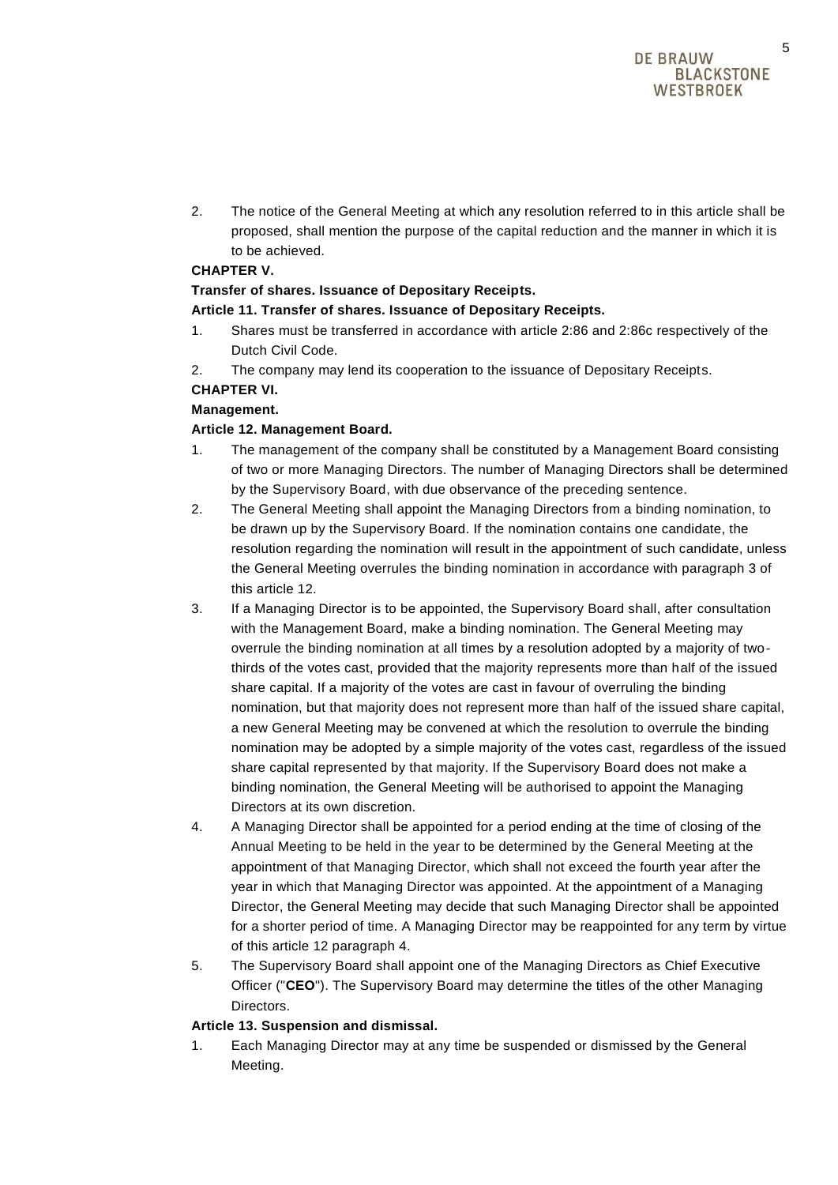2. The notice of the General Meeting at which any resolution referred to in this article shall be proposed, shall mention the purpose of the capital reduction and the manner in which it is to be achieved.

## **CHAPTER V.**

## **Transfer of shares. Issuance of Depositary Receipts.**

## **Article 11. Transfer of shares. Issuance of Depositary Receipts.**

- 1. Shares must be transferred in accordance with article 2:86 and 2:86c respectively of the Dutch Civil Code.
- 2. The company may lend its cooperation to the issuance of Depositary Receipts.

## **CHAPTER VI.**

## **Management.**

## **Article 12. Management Board.**

- 1. The management of the company shall be constituted by a Management Board consisting of two or more Managing Directors. The number of Managing Directors shall be determined by the Supervisory Board, with due observance of the preceding sentence.
- 2. The General Meeting shall appoint the Managing Directors from a binding nomination, to be drawn up by the Supervisory Board. If the nomination contains one candidate, the resolution regarding the nomination will result in the appointment of such candidate, unless the General Meeting overrules the binding nomination in accordance with paragraph 3 of this article 12.
- 3. If a Managing Director is to be appointed, the Supervisory Board shall, after consultation with the Management Board, make a binding nomination. The General Meeting may overrule the binding nomination at all times by a resolution adopted by a majority of twothirds of the votes cast, provided that the majority represents more than half of the issued share capital. If a majority of the votes are cast in favour of overruling the binding nomination, but that majority does not represent more than half of the issued share capital, a new General Meeting may be convened at which the resolution to overrule the binding nomination may be adopted by a simple majority of the votes cast, regardless of the issued share capital represented by that majority. If the Supervisory Board does not make a binding nomination, the General Meeting will be authorised to appoint the Managing Directors at its own discretion.
- 4. A Managing Director shall be appointed for a period ending at the time of closing of the Annual Meeting to be held in the year to be determined by the General Meeting at the appointment of that Managing Director, which shall not exceed the fourth year after the year in which that Managing Director was appointed. At the appointment of a Managing Director, the General Meeting may decide that such Managing Director shall be appointed for a shorter period of time. A Managing Director may be reappointed for any term by virtue of this article 12 paragraph 4.
- 5. The Supervisory Board shall appoint one of the Managing Directors as Chief Executive Officer ("**CEO**"). The Supervisory Board may determine the titles of the other Managing Directors.

## **Article 13. Suspension and dismissal.**

1. Each Managing Director may at any time be suspended or dismissed by the General Meeting.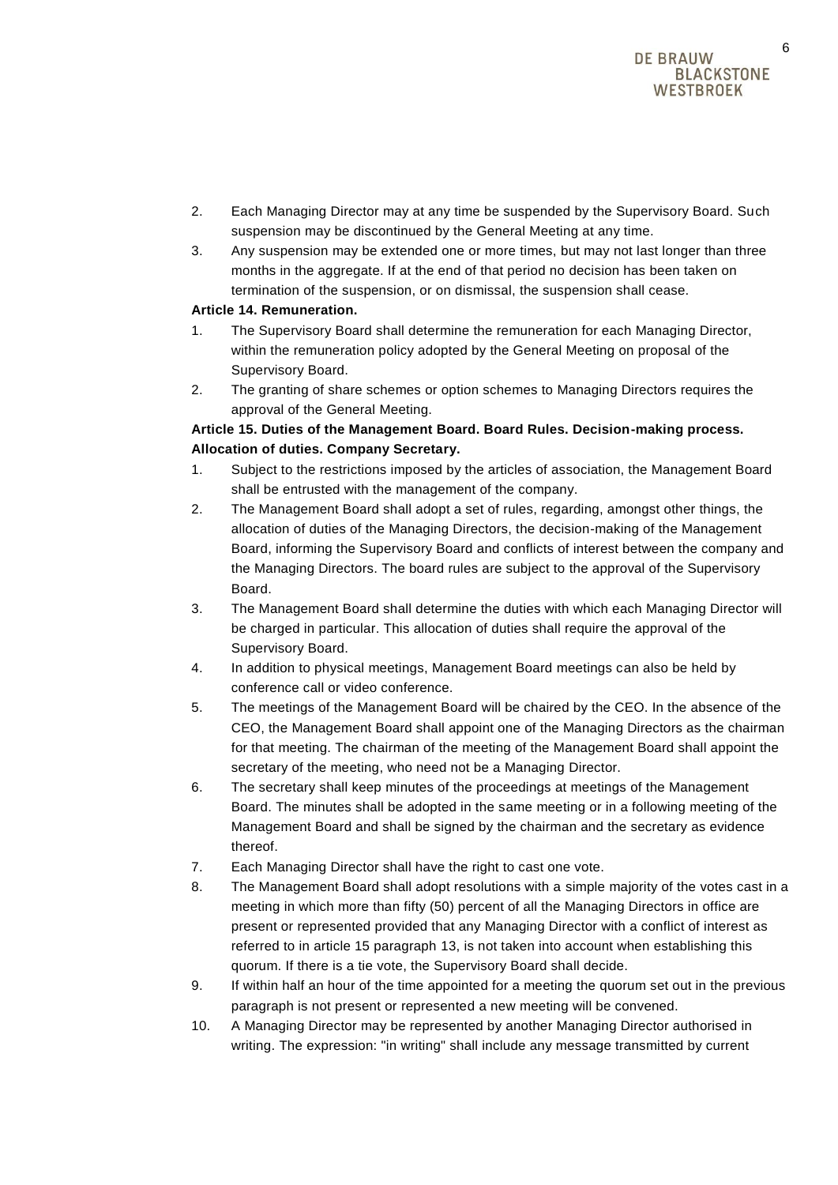- 2. Each Managing Director may at any time be suspended by the Supervisory Board. Such suspension may be discontinued by the General Meeting at any time.
- 3. Any suspension may be extended one or more times, but may not last longer than three months in the aggregate. If at the end of that period no decision has been taken on termination of the suspension, or on dismissal, the suspension shall cease.

## **Article 14. Remuneration.**

- 1. The Supervisory Board shall determine the remuneration for each Managing Director, within the remuneration policy adopted by the General Meeting on proposal of the Supervisory Board.
- 2. The granting of share schemes or option schemes to Managing Directors requires the approval of the General Meeting.

# **Article 15. Duties of the Management Board. Board Rules. Decision-making process. Allocation of duties. Company Secretary.**

- 1. Subject to the restrictions imposed by the articles of association, the Management Board shall be entrusted with the management of the company.
- 2. The Management Board shall adopt a set of rules, regarding, amongst other things, the allocation of duties of the Managing Directors, the decision-making of the Management Board, informing the Supervisory Board and conflicts of interest between the company and the Managing Directors. The board rules are subject to the approval of the Supervisory Board.
- 3. The Management Board shall determine the duties with which each Managing Director will be charged in particular. This allocation of duties shall require the approval of the Supervisory Board.
- 4. In addition to physical meetings, Management Board meetings can also be held by conference call or video conference.
- 5. The meetings of the Management Board will be chaired by the CEO. In the absence of the CEO, the Management Board shall appoint one of the Managing Directors as the chairman for that meeting. The chairman of the meeting of the Management Board shall appoint the secretary of the meeting, who need not be a Managing Director.
- 6. The secretary shall keep minutes of the proceedings at meetings of the Management Board. The minutes shall be adopted in the same meeting or in a following meeting of the Management Board and shall be signed by the chairman and the secretary as evidence thereof.
- 7. Each Managing Director shall have the right to cast one vote.
- 8. The Management Board shall adopt resolutions with a simple majority of the votes cast in a meeting in which more than fifty (50) percent of all the Managing Directors in office are present or represented provided that any Managing Director with a conflict of interest as referred to in article 15 paragraph 13, is not taken into account when establishing this quorum. If there is a tie vote, the Supervisory Board shall decide.
- 9. If within half an hour of the time appointed for a meeting the quorum set out in the previous paragraph is not present or represented a new meeting will be convened.
- 10. A Managing Director may be represented by another Managing Director authorised in writing. The expression: "in writing" shall include any message transmitted by current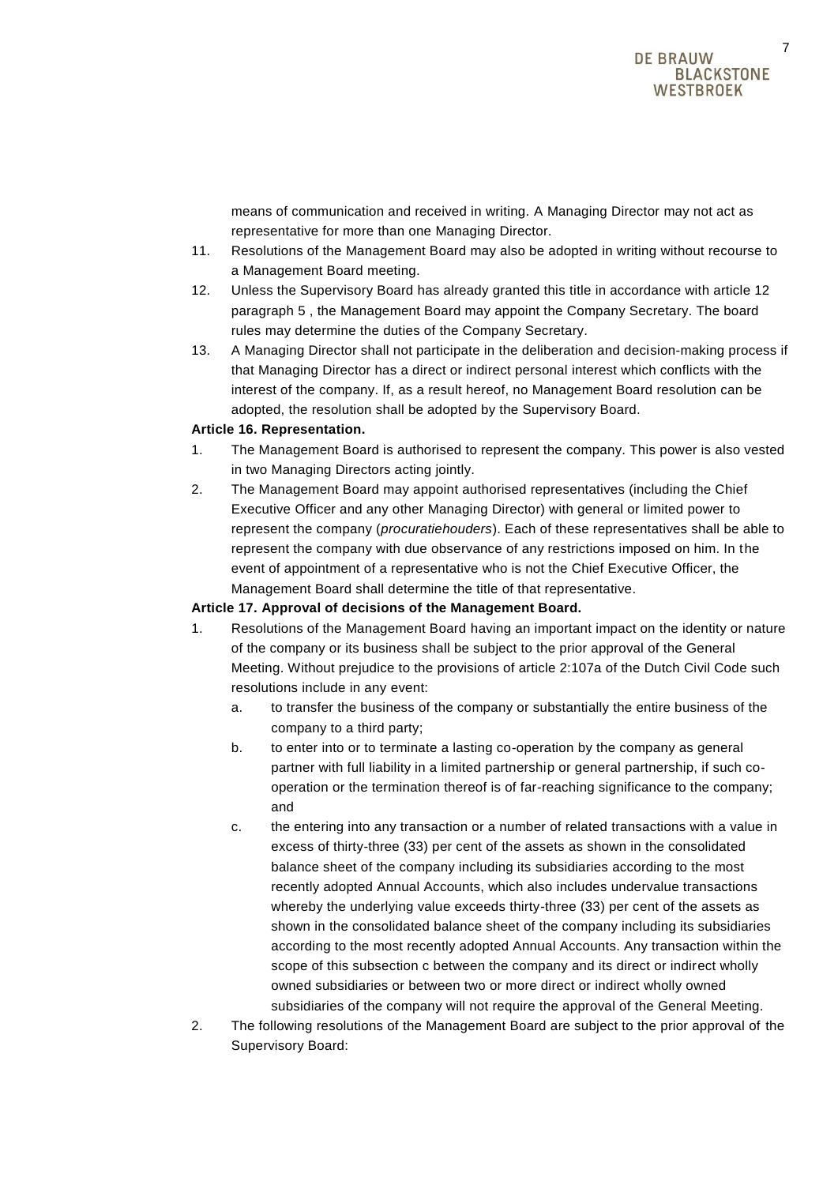means of communication and received in writing. A Managing Director may not act as representative for more than one Managing Director.

- 11. Resolutions of the Management Board may also be adopted in writing without recourse to a Management Board meeting.
- 12. Unless the Supervisory Board has already granted this title in accordance with article 12 paragraph 5 , the Management Board may appoint the Company Secretary. The board rules may determine the duties of the Company Secretary.
- 13. A Managing Director shall not participate in the deliberation and decision-making process if that Managing Director has a direct or indirect personal interest which conflicts with the interest of the company. If, as a result hereof, no Management Board resolution can be adopted, the resolution shall be adopted by the Supervisory Board.

## **Article 16. Representation.**

- 1. The Management Board is authorised to represent the company. This power is also vested in two Managing Directors acting jointly.
- 2. The Management Board may appoint authorised representatives (including the Chief Executive Officer and any other Managing Director) with general or limited power to represent the company (*procuratiehouders*). Each of these representatives shall be able to represent the company with due observance of any restrictions imposed on him. In the event of appointment of a representative who is not the Chief Executive Officer, the Management Board shall determine the title of that representative.

## **Article 17. Approval of decisions of the Management Board.**

- 1. Resolutions of the Management Board having an important impact on the identity or nature of the company or its business shall be subject to the prior approval of the General Meeting. Without prejudice to the provisions of article 2:107a of the Dutch Civil Code such resolutions include in any event:
	- a. to transfer the business of the company or substantially the entire business of the company to a third party;
	- b. to enter into or to terminate a lasting co-operation by the company as general partner with full liability in a limited partnership or general partnership, if such cooperation or the termination thereof is of far-reaching significance to the company; and
	- c. the entering into any transaction or a number of related transactions with a value in excess of thirty-three (33) per cent of the assets as shown in the consolidated balance sheet of the company including its subsidiaries according to the most recently adopted Annual Accounts, which also includes undervalue transactions whereby the underlying value exceeds thirty-three (33) per cent of the assets as shown in the consolidated balance sheet of the company including its subsidiaries according to the most recently adopted Annual Accounts. Any transaction within the scope of this subsection c between the company and its direct or indirect wholly owned subsidiaries or between two or more direct or indirect wholly owned subsidiaries of the company will not require the approval of the General Meeting.
- 2. The following resolutions of the Management Board are subject to the prior approval of the Supervisory Board: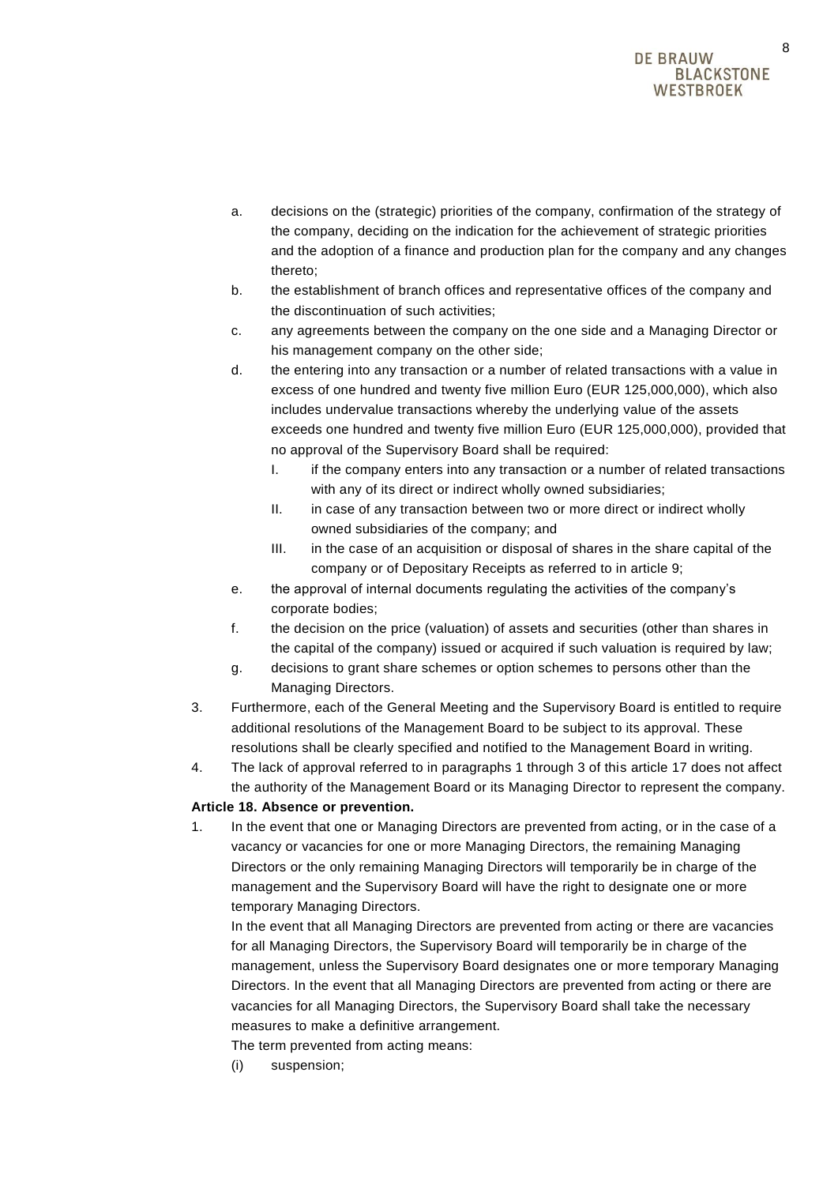- a. decisions on the (strategic) priorities of the company, confirmation of the strategy of the company, deciding on the indication for the achievement of strategic priorities and the adoption of a finance and production plan for the company and any changes thereto;
- b. the establishment of branch offices and representative offices of the company and the discontinuation of such activities;
- c. any agreements between the company on the one side and a Managing Director or his management company on the other side;
- d. the entering into any transaction or a number of related transactions with a value in excess of one hundred and twenty five million Euro (EUR 125,000,000), which also includes undervalue transactions whereby the underlying value of the assets exceeds one hundred and twenty five million Euro (EUR 125,000,000), provided that no approval of the Supervisory Board shall be required:
	- I. if the company enters into any transaction or a number of related transactions with any of its direct or indirect wholly owned subsidiaries:
	- II. in case of any transaction between two or more direct or indirect wholly owned subsidiaries of the company; and
	- III. in the case of an acquisition or disposal of shares in the share capital of the company or of Depositary Receipts as referred to in article 9;
- e. the approval of internal documents regulating the activities of the company's corporate bodies;
- f. the decision on the price (valuation) of assets and securities (other than shares in the capital of the company) issued or acquired if such valuation is required by law;
- g. decisions to grant share schemes or option schemes to persons other than the Managing Directors.
- 3. Furthermore, each of the General Meeting and the Supervisory Board is entitled to require additional resolutions of the Management Board to be subject to its approval. These resolutions shall be clearly specified and notified to the Management Board in writing.
- 4. The lack of approval referred to in paragraphs 1 through 3 of this article 17 does not affect the authority of the Management Board or its Managing Director to represent the company.

# **Article 18. Absence or prevention.**

1. In the event that one or Managing Directors are prevented from acting, or in the case of a vacancy or vacancies for one or more Managing Directors, the remaining Managing Directors or the only remaining Managing Directors will temporarily be in charge of the management and the Supervisory Board will have the right to designate one or more temporary Managing Directors.

In the event that all Managing Directors are prevented from acting or there are vacancies for all Managing Directors, the Supervisory Board will temporarily be in charge of the management, unless the Supervisory Board designates one or more temporary Managing Directors. In the event that all Managing Directors are prevented from acting or there are vacancies for all Managing Directors, the Supervisory Board shall take the necessary measures to make a definitive arrangement.

The term prevented from acting means:

(i) suspension;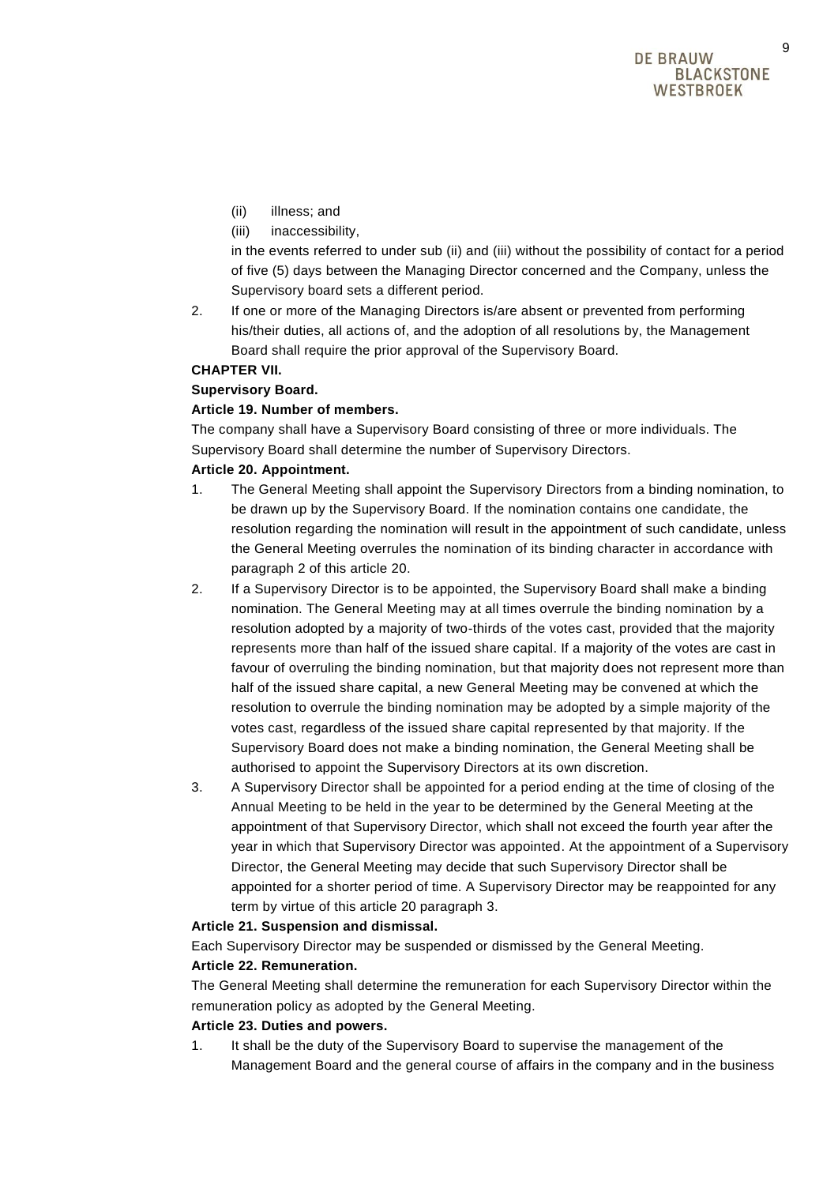- (ii) illness; and
- (iii) inaccessibility,

in the events referred to under sub (ii) and (iii) without the possibility of contact for a period of five (5) days between the Managing Director concerned and the Company, unless the Supervisory board sets a different period.

2. If one or more of the Managing Directors is/are absent or prevented from performing his/their duties, all actions of, and the adoption of all resolutions by, the Management Board shall require the prior approval of the Supervisory Board.

## **CHAPTER VII.**

## **Supervisory Board.**

## **Article 19. Number of members.**

The company shall have a Supervisory Board consisting of three or more individuals. The Supervisory Board shall determine the number of Supervisory Directors.

## **Article 20. Appointment.**

- 1. The General Meeting shall appoint the Supervisory Directors from a binding nomination, to be drawn up by the Supervisory Board. If the nomination contains one candidate, the resolution regarding the nomination will result in the appointment of such candidate, unless the General Meeting overrules the nomination of its binding character in accordance with paragraph 2 of this article 20.
- 2. If a Supervisory Director is to be appointed, the Supervisory Board shall make a binding nomination. The General Meeting may at all times overrule the binding nomination by a resolution adopted by a majority of two-thirds of the votes cast, provided that the majority represents more than half of the issued share capital. If a majority of the votes are cast in favour of overruling the binding nomination, but that majority does not represent more than half of the issued share capital, a new General Meeting may be convened at which the resolution to overrule the binding nomination may be adopted by a simple majority of the votes cast, regardless of the issued share capital represented by that majority. If the Supervisory Board does not make a binding nomination, the General Meeting shall be authorised to appoint the Supervisory Directors at its own discretion.
- 3. A Supervisory Director shall be appointed for a period ending at the time of closing of the Annual Meeting to be held in the year to be determined by the General Meeting at the appointment of that Supervisory Director, which shall not exceed the fourth year after the year in which that Supervisory Director was appointed. At the appointment of a Supervisory Director, the General Meeting may decide that such Supervisory Director shall be appointed for a shorter period of time. A Supervisory Director may be reappointed for any term by virtue of this article 20 paragraph 3.

#### **Article 21. Suspension and dismissal.**

Each Supervisory Director may be suspended or dismissed by the General Meeting. **Article 22. Remuneration.**

The General Meeting shall determine the remuneration for each Supervisory Director within the remuneration policy as adopted by the General Meeting.

## **Article 23. Duties and powers.**

1. It shall be the duty of the Supervisory Board to supervise the management of the Management Board and the general course of affairs in the company and in the business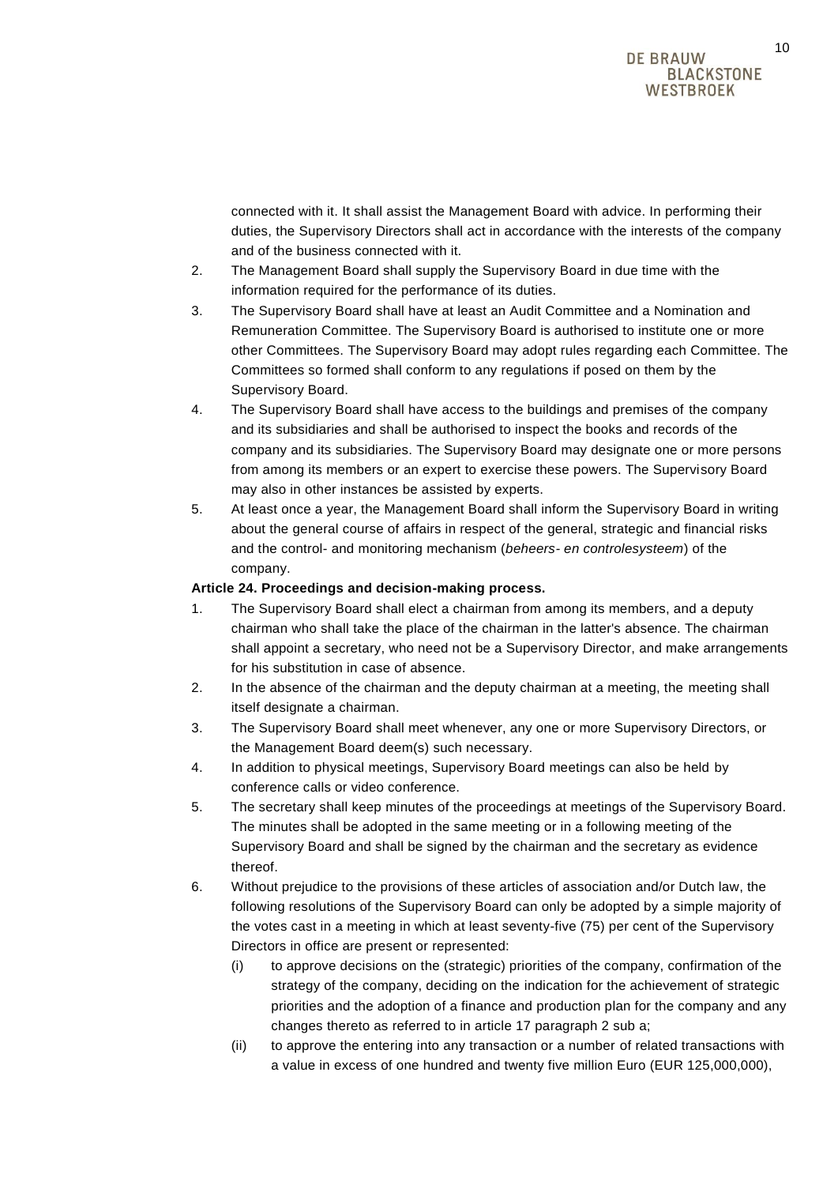connected with it. It shall assist the Management Board with advice. In performing their duties, the Supervisory Directors shall act in accordance with the interests of the company and of the business connected with it.

- 2. The Management Board shall supply the Supervisory Board in due time with the information required for the performance of its duties.
- 3. The Supervisory Board shall have at least an Audit Committee and a Nomination and Remuneration Committee. The Supervisory Board is authorised to institute one or more other Committees. The Supervisory Board may adopt rules regarding each Committee. The Committees so formed shall conform to any regulations if posed on them by the Supervisory Board.
- 4. The Supervisory Board shall have access to the buildings and premises of the company and its subsidiaries and shall be authorised to inspect the books and records of the company and its subsidiaries. The Supervisory Board may designate one or more persons from among its members or an expert to exercise these powers. The Supervisory Board may also in other instances be assisted by experts.
- 5. At least once a year, the Management Board shall inform the Supervisory Board in writing about the general course of affairs in respect of the general, strategic and financial risks and the control- and monitoring mechanism (*beheers- en controlesysteem*) of the company.

## **Article 24. Proceedings and decision-making process.**

- 1. The Supervisory Board shall elect a chairman from among its members, and a deputy chairman who shall take the place of the chairman in the latter's absence. The chairman shall appoint a secretary, who need not be a Supervisory Director, and make arrangements for his substitution in case of absence.
- 2. In the absence of the chairman and the deputy chairman at a meeting, the meeting shall itself designate a chairman.
- 3. The Supervisory Board shall meet whenever, any one or more Supervisory Directors, or the Management Board deem(s) such necessary.
- 4. In addition to physical meetings, Supervisory Board meetings can also be held by conference calls or video conference.
- 5. The secretary shall keep minutes of the proceedings at meetings of the Supervisory Board. The minutes shall be adopted in the same meeting or in a following meeting of the Supervisory Board and shall be signed by the chairman and the secretary as evidence thereof.
- 6. Without prejudice to the provisions of these articles of association and/or Dutch law, the following resolutions of the Supervisory Board can only be adopted by a simple majority of the votes cast in a meeting in which at least seventy-five (75) per cent of the Supervisory Directors in office are present or represented:
	- (i) to approve decisions on the (strategic) priorities of the company, confirmation of the strategy of the company, deciding on the indication for the achievement of strategic priorities and the adoption of a finance and production plan for the company and any changes thereto as referred to in article 17 paragraph 2 sub a;
	- (ii) to approve the entering into any transaction or a number of related transactions with a value in excess of one hundred and twenty five million Euro (EUR 125,000,000),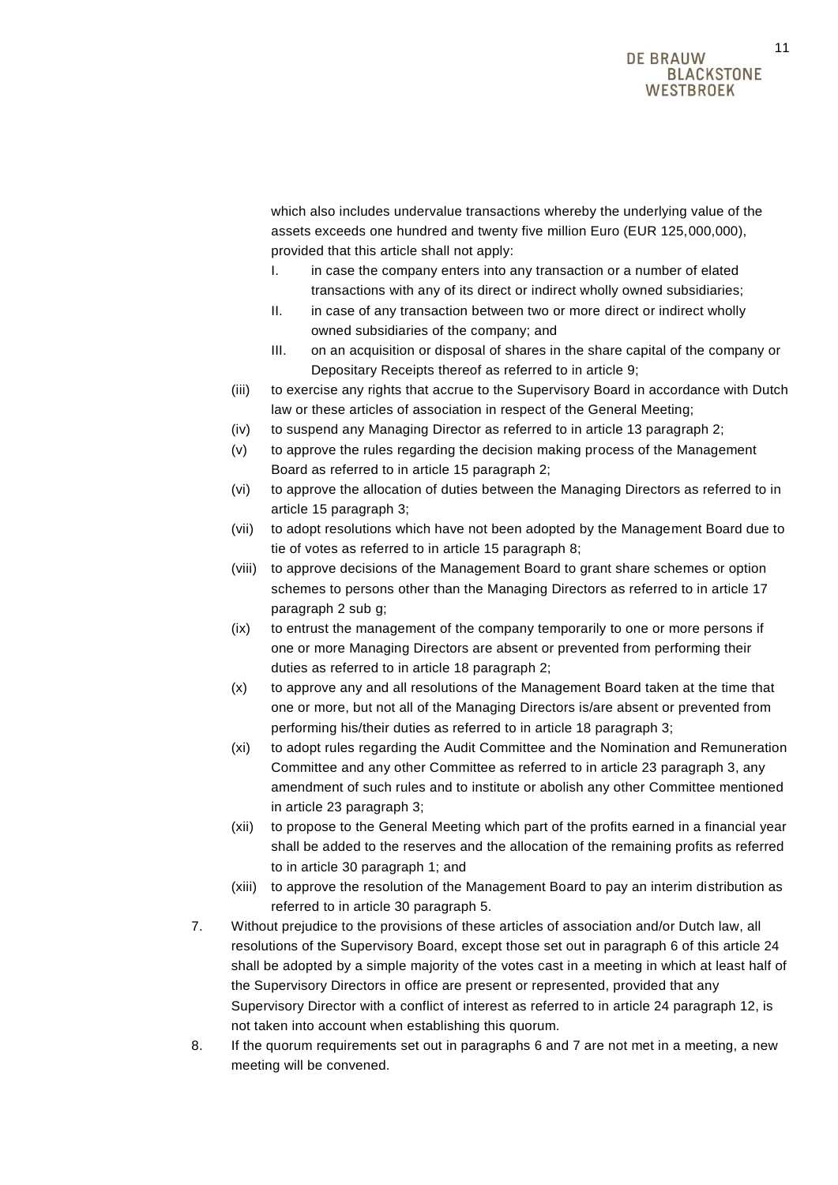which also includes undervalue transactions whereby the underlying value of the assets exceeds one hundred and twenty five million Euro (EUR 125,000,000), provided that this article shall not apply:

- I. in case the company enters into any transaction or a number of elated transactions with any of its direct or indirect wholly owned subsidiaries;
- II. in case of any transaction between two or more direct or indirect wholly owned subsidiaries of the company; and
- III. on an acquisition or disposal of shares in the share capital of the company or Depositary Receipts thereof as referred to in article 9;
- (iii) to exercise any rights that accrue to the Supervisory Board in accordance with Dutch law or these articles of association in respect of the General Meeting;
- (iv) to suspend any Managing Director as referred to in article 13 paragraph 2;
- (v) to approve the rules regarding the decision making process of the Management Board as referred to in article 15 paragraph 2;
- (vi) to approve the allocation of duties between the Managing Directors as referred to in article 15 paragraph 3;
- (vii) to adopt resolutions which have not been adopted by the Management Board due to tie of votes as referred to in article 15 paragraph 8;
- (viii) to approve decisions of the Management Board to grant share schemes or option schemes to persons other than the Managing Directors as referred to in article 17 paragraph 2 sub g;
- (ix) to entrust the management of the company temporarily to one or more persons if one or more Managing Directors are absent or prevented from performing their duties as referred to in article 18 paragraph 2;
- (x) to approve any and all resolutions of the Management Board taken at the time that one or more, but not all of the Managing Directors is/are absent or prevented from performing his/their duties as referred to in article 18 paragraph 3;
- (xi) to adopt rules regarding the Audit Committee and the Nomination and Remuneration Committee and any other Committee as referred to in article 23 paragraph 3, any amendment of such rules and to institute or abolish any other Committee mentioned in article 23 paragraph 3;
- (xii) to propose to the General Meeting which part of the profits earned in a financial year shall be added to the reserves and the allocation of the remaining profits as referred to in article 30 paragraph 1; and
- (xiii) to approve the resolution of the Management Board to pay an interim distribution as referred to in article 30 paragraph 5.
- 7. Without prejudice to the provisions of these articles of association and/or Dutch law, all resolutions of the Supervisory Board, except those set out in paragraph 6 of this article 24 shall be adopted by a simple majority of the votes cast in a meeting in which at least half of the Supervisory Directors in office are present or represented, provided that any Supervisory Director with a conflict of interest as referred to in article 24 paragraph 12, is not taken into account when establishing this quorum.
- 8. If the quorum requirements set out in paragraphs 6 and 7 are not met in a meeting, a new meeting will be convened.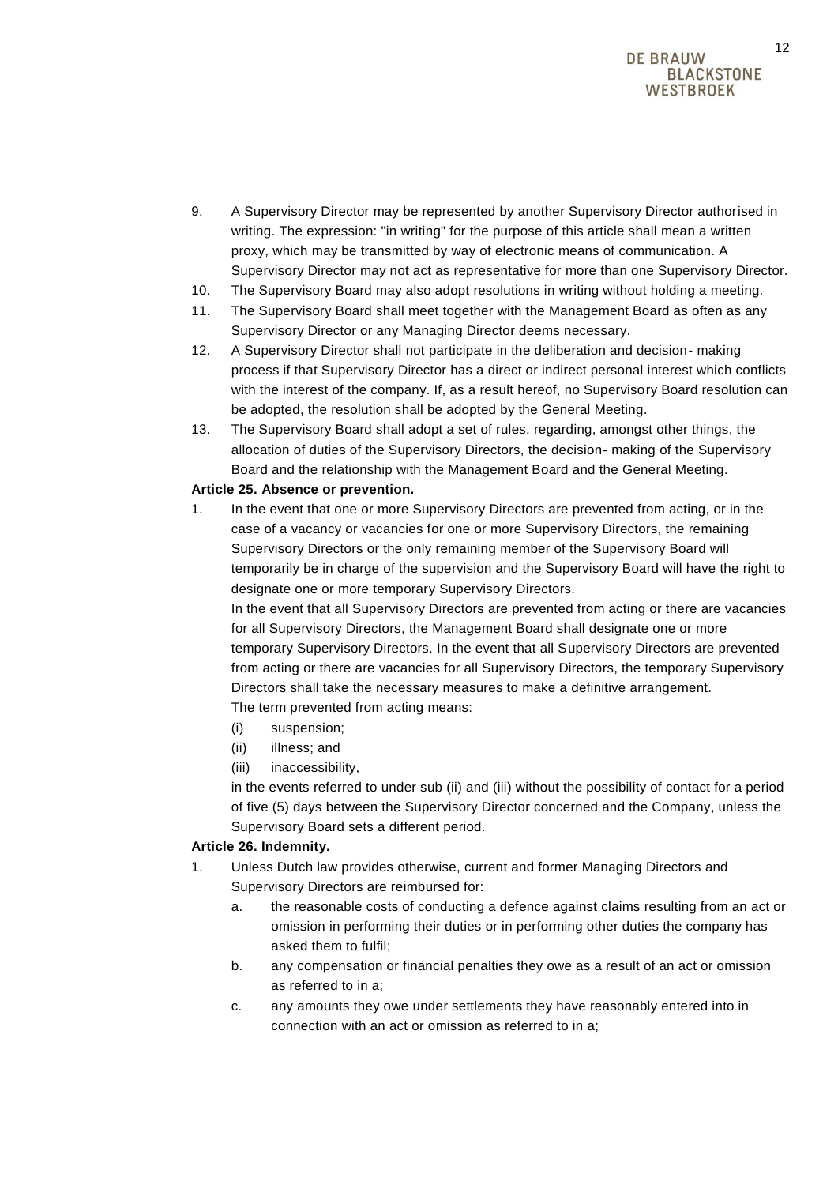## DE BRAIJW **BLACKSTONE WESTBROEK**

- 9. A Supervisory Director may be represented by another Supervisory Director authorised in writing. The expression: "in writing" for the purpose of this article shall mean a written proxy, which may be transmitted by way of electronic means of communication. A Supervisory Director may not act as representative for more than one Supervisory Director.
- 10. The Supervisory Board may also adopt resolutions in writing without holding a meeting.
- 11. The Supervisory Board shall meet together with the Management Board as often as any Supervisory Director or any Managing Director deems necessary.
- 12. A Supervisory Director shall not participate in the deliberation and decision- making process if that Supervisory Director has a direct or indirect personal interest which conflicts with the interest of the company. If, as a result hereof, no Supervisory Board resolution can be adopted, the resolution shall be adopted by the General Meeting.
- 13. The Supervisory Board shall adopt a set of rules, regarding, amongst other things, the allocation of duties of the Supervisory Directors, the decision- making of the Supervisory Board and the relationship with the Management Board and the General Meeting.

## **Article 25. Absence or prevention.**

1. In the event that one or more Supervisory Directors are prevented from acting, or in the case of a vacancy or vacancies for one or more Supervisory Directors, the remaining Supervisory Directors or the only remaining member of the Supervisory Board will temporarily be in charge of the supervision and the Supervisory Board will have the right to designate one or more temporary Supervisory Directors.

In the event that all Supervisory Directors are prevented from acting or there are vacancies for all Supervisory Directors, the Management Board shall designate one or more temporary Supervisory Directors. In the event that all Supervisory Directors are prevented from acting or there are vacancies for all Supervisory Directors, the temporary Supervisory Directors shall take the necessary measures to make a definitive arrangement. The term prevented from acting means:

- (i) suspension;
- (ii) illness; and
- (iii) inaccessibility,

in the events referred to under sub (ii) and (iii) without the possibility of contact for a period of five (5) days between the Supervisory Director concerned and the Company, unless the Supervisory Board sets a different period.

#### **Article 26. Indemnity.**

- 1. Unless Dutch law provides otherwise, current and former Managing Directors and Supervisory Directors are reimbursed for:
	- a. the reasonable costs of conducting a defence against claims resulting from an act or omission in performing their duties or in performing other duties the company has asked them to fulfil;
	- b. any compensation or financial penalties they owe as a result of an act or omission as referred to in a;
	- c. any amounts they owe under settlements they have reasonably entered into in connection with an act or omission as referred to in a;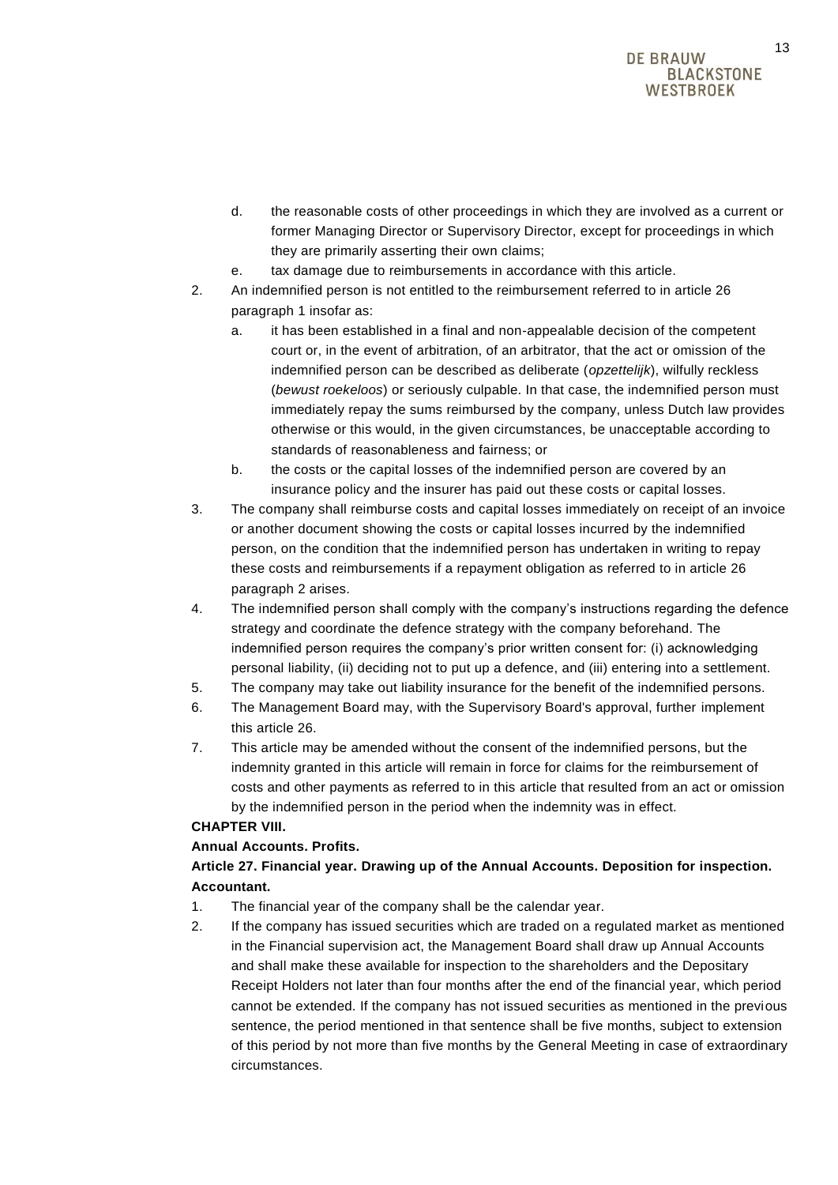- d. the reasonable costs of other proceedings in which they are involved as a current or former Managing Director or Supervisory Director, except for proceedings in which they are primarily asserting their own claims;
- e. tax damage due to reimbursements in accordance with this article.
- 2. An indemnified person is not entitled to the reimbursement referred to in article 26 paragraph 1 insofar as:
	- a. it has been established in a final and non-appealable decision of the competent court or, in the event of arbitration, of an arbitrator, that the act or omission of the indemnified person can be described as deliberate (*opzettelijk*), wilfully reckless (*bewust roekeloos*) or seriously culpable. In that case, the indemnified person must immediately repay the sums reimbursed by the company, unless Dutch law provides otherwise or this would, in the given circumstances, be unacceptable according to standards of reasonableness and fairness; or
	- b. the costs or the capital losses of the indemnified person are covered by an insurance policy and the insurer has paid out these costs or capital losses.
- 3. The company shall reimburse costs and capital losses immediately on receipt of an invoice or another document showing the costs or capital losses incurred by the indemnified person, on the condition that the indemnified person has undertaken in writing to repay these costs and reimbursements if a repayment obligation as referred to in article 26 paragraph 2 arises.
- 4. The indemnified person shall comply with the company's instructions regarding the defence strategy and coordinate the defence strategy with the company beforehand. The indemnified person requires the company's prior written consent for: (i) acknowledging personal liability, (ii) deciding not to put up a defence, and (iii) entering into a settlement.
- 5. The company may take out liability insurance for the benefit of the indemnified persons.
- 6. The Management Board may, with the Supervisory Board's approval, further implement this article 26.
- 7. This article may be amended without the consent of the indemnified persons, but the indemnity granted in this article will remain in force for claims for the reimbursement of costs and other payments as referred to in this article that resulted from an act or omission by the indemnified person in the period when the indemnity was in effect.

# **CHAPTER VIII.**

## **Annual Accounts. Profits.**

# **Article 27. Financial year. Drawing up of the Annual Accounts. Deposition for inspection. Accountant.**

- 1. The financial year of the company shall be the calendar year.
- 2. If the company has issued securities which are traded on a regulated market as mentioned in the Financial supervision act, the Management Board shall draw up Annual Accounts and shall make these available for inspection to the shareholders and the Depositary Receipt Holders not later than four months after the end of the financial year, which period cannot be extended. If the company has not issued securities as mentioned in the previous sentence, the period mentioned in that sentence shall be five months, subject to extension of this period by not more than five months by the General Meeting in case of extraordinary circumstances.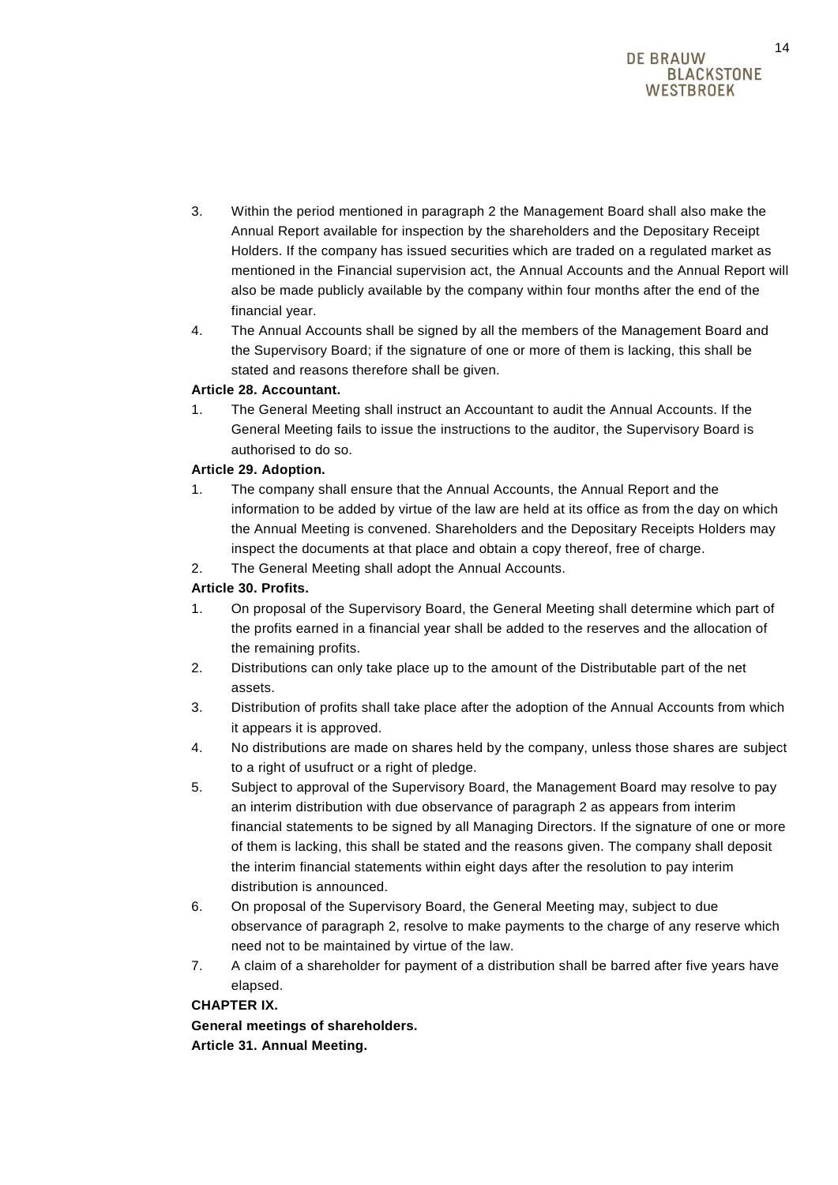- 3. Within the period mentioned in paragraph 2 the Management Board shall also make the Annual Report available for inspection by the shareholders and the Depositary Receipt Holders. If the company has issued securities which are traded on a regulated market as mentioned in the Financial supervision act, the Annual Accounts and the Annual Report will also be made publicly available by the company within four months after the end of the financial year.
- 4. The Annual Accounts shall be signed by all the members of the Management Board and the Supervisory Board; if the signature of one or more of them is lacking, this shall be stated and reasons therefore shall be given.

## **Article 28. Accountant.**

1. The General Meeting shall instruct an Accountant to audit the Annual Accounts. If the General Meeting fails to issue the instructions to the auditor, the Supervisory Board is authorised to do so.

## **Article 29. Adoption.**

- 1. The company shall ensure that the Annual Accounts, the Annual Report and the information to be added by virtue of the law are held at its office as from the day on which the Annual Meeting is convened. Shareholders and the Depositary Receipts Holders may inspect the documents at that place and obtain a copy thereof, free of charge.
- 2. The General Meeting shall adopt the Annual Accounts.

## **Article 30. Profits.**

- 1. On proposal of the Supervisory Board, the General Meeting shall determine which part of the profits earned in a financial year shall be added to the reserves and the allocation of the remaining profits.
- 2. Distributions can only take place up to the amount of the Distributable part of the net assets.
- 3. Distribution of profits shall take place after the adoption of the Annual Accounts from which it appears it is approved.
- 4. No distributions are made on shares held by the company, unless those shares are subject to a right of usufruct or a right of pledge.
- 5. Subject to approval of the Supervisory Board, the Management Board may resolve to pay an interim distribution with due observance of paragraph 2 as appears from interim financial statements to be signed by all Managing Directors. If the signature of one or more of them is lacking, this shall be stated and the reasons given. The company shall deposit the interim financial statements within eight days after the resolution to pay interim distribution is announced.
- 6. On proposal of the Supervisory Board, the General Meeting may, subject to due observance of paragraph 2, resolve to make payments to the charge of any reserve which need not to be maintained by virtue of the law.
- 7. A claim of a shareholder for payment of a distribution shall be barred after five years have elapsed.

## **CHAPTER IX.**

**General meetings of shareholders. Article 31. Annual Meeting.**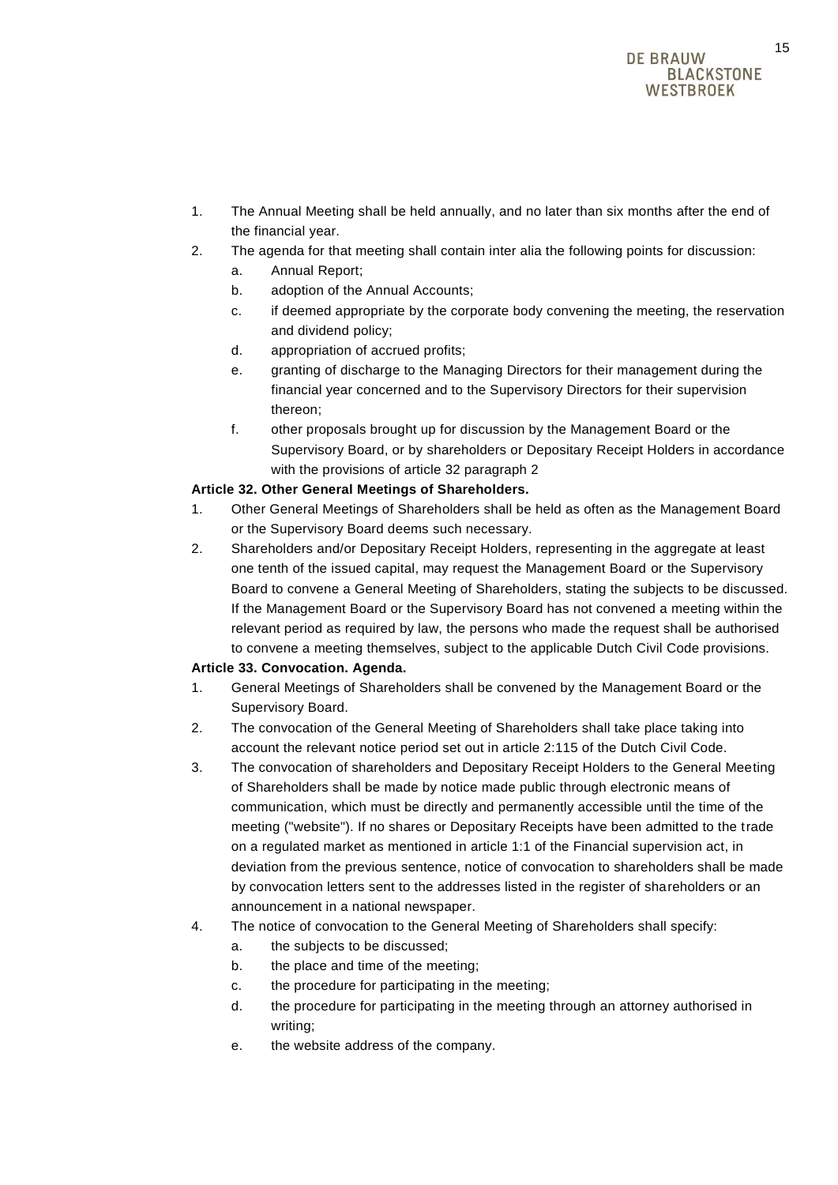- 1. The Annual Meeting shall be held annually, and no later than six months after the end of the financial year.
- 2. The agenda for that meeting shall contain inter alia the following points for discussion:
	- a. Annual Report;
	- b. adoption of the Annual Accounts;
	- c. if deemed appropriate by the corporate body convening the meeting, the reservation and dividend policy;
	- d. appropriation of accrued profits;
	- e. granting of discharge to the Managing Directors for their management during the financial year concerned and to the Supervisory Directors for their supervision thereon;
	- f. other proposals brought up for discussion by the Management Board or the Supervisory Board, or by shareholders or Depositary Receipt Holders in accordance with the provisions of article 32 paragraph 2

## **Article 32. Other General Meetings of Shareholders.**

- 1. Other General Meetings of Shareholders shall be held as often as the Management Board or the Supervisory Board deems such necessary.
- 2. Shareholders and/or Depositary Receipt Holders, representing in the aggregate at least one tenth of the issued capital, may request the Management Board or the Supervisory Board to convene a General Meeting of Shareholders, stating the subjects to be discussed. If the Management Board or the Supervisory Board has not convened a meeting within the relevant period as required by law, the persons who made the request shall be authorised to convene a meeting themselves, subject to the applicable Dutch Civil Code provisions.

## **Article 33. Convocation. Agenda.**

- 1. General Meetings of Shareholders shall be convened by the Management Board or the Supervisory Board.
- 2. The convocation of the General Meeting of Shareholders shall take place taking into account the relevant notice period set out in article 2:115 of the Dutch Civil Code.
- 3. The convocation of shareholders and Depositary Receipt Holders to the General Meeting of Shareholders shall be made by notice made public through electronic means of communication, which must be directly and permanently accessible until the time of the meeting ("website"). If no shares or Depositary Receipts have been admitted to the trade on a regulated market as mentioned in article 1:1 of the Financial supervision act, in deviation from the previous sentence, notice of convocation to shareholders shall be made by convocation letters sent to the addresses listed in the register of shareholders or an announcement in a national newspaper.
- 4. The notice of convocation to the General Meeting of Shareholders shall specify:
	- a. the subjects to be discussed;
	- b. the place and time of the meeting;
	- c. the procedure for participating in the meeting;
	- d. the procedure for participating in the meeting through an attorney authorised in writing;
	- e. the website address of the company.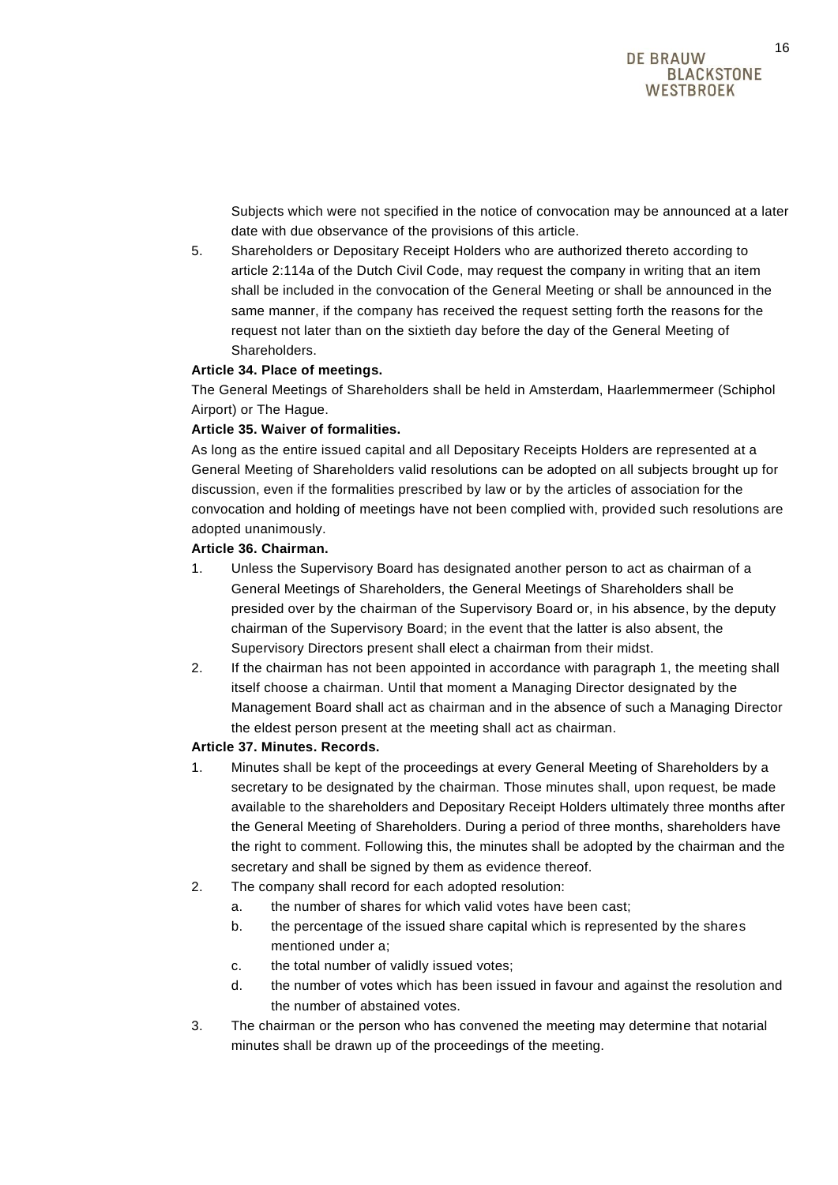Subjects which were not specified in the notice of convocation may be announced at a later date with due observance of the provisions of this article.

5. Shareholders or Depositary Receipt Holders who are authorized thereto according to article 2:114a of the Dutch Civil Code, may request the company in writing that an item shall be included in the convocation of the General Meeting or shall be announced in the same manner, if the company has received the request setting forth the reasons for the request not later than on the sixtieth day before the day of the General Meeting of Shareholders.

## **Article 34. Place of meetings.**

The General Meetings of Shareholders shall be held in Amsterdam, Haarlemmermeer (Schiphol Airport) or The Hague.

#### **Article 35. Waiver of formalities.**

As long as the entire issued capital and all Depositary Receipts Holders are represented at a General Meeting of Shareholders valid resolutions can be adopted on all subjects brought up for discussion, even if the formalities prescribed by law or by the articles of association for the convocation and holding of meetings have not been complied with, provided such resolutions are adopted unanimously.

#### **Article 36. Chairman.**

- 1. Unless the Supervisory Board has designated another person to act as chairman of a General Meetings of Shareholders, the General Meetings of Shareholders shall be presided over by the chairman of the Supervisory Board or, in his absence, by the deputy chairman of the Supervisory Board; in the event that the latter is also absent, the Supervisory Directors present shall elect a chairman from their midst.
- 2. If the chairman has not been appointed in accordance with paragraph 1, the meeting shall itself choose a chairman. Until that moment a Managing Director designated by the Management Board shall act as chairman and in the absence of such a Managing Director the eldest person present at the meeting shall act as chairman.

## **Article 37. Minutes. Records.**

- 1. Minutes shall be kept of the proceedings at every General Meeting of Shareholders by a secretary to be designated by the chairman. Those minutes shall, upon request, be made available to the shareholders and Depositary Receipt Holders ultimately three months after the General Meeting of Shareholders. During a period of three months, shareholders have the right to comment. Following this, the minutes shall be adopted by the chairman and the secretary and shall be signed by them as evidence thereof.
- 2. The company shall record for each adopted resolution:
	- a. the number of shares for which valid votes have been cast;
	- b. the percentage of the issued share capital which is represented by the shares mentioned under a;
	- c. the total number of validly issued votes;
	- d. the number of votes which has been issued in favour and against the resolution and the number of abstained votes.
- 3. The chairman or the person who has convened the meeting may determine that notarial minutes shall be drawn up of the proceedings of the meeting.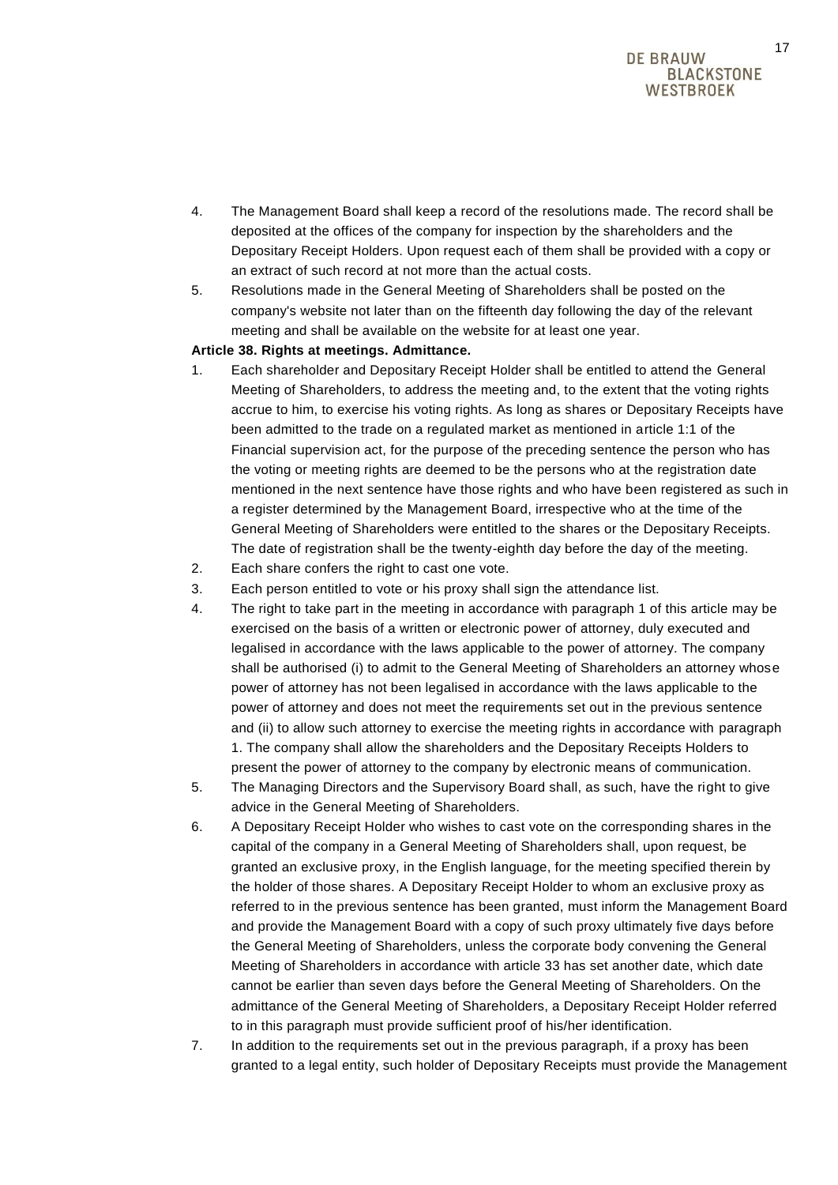- 4. The Management Board shall keep a record of the resolutions made. The record shall be deposited at the offices of the company for inspection by the shareholders and the Depositary Receipt Holders. Upon request each of them shall be provided with a copy or an extract of such record at not more than the actual costs.
- 5. Resolutions made in the General Meeting of Shareholders shall be posted on the company's website not later than on the fifteenth day following the day of the relevant meeting and shall be available on the website for at least one year.

#### **Article 38. Rights at meetings. Admittance.**

- 1. Each shareholder and Depositary Receipt Holder shall be entitled to attend the General Meeting of Shareholders, to address the meeting and, to the extent that the voting rights accrue to him, to exercise his voting rights. As long as shares or Depositary Receipts have been admitted to the trade on a regulated market as mentioned in article 1:1 of the Financial supervision act, for the purpose of the preceding sentence the person who has the voting or meeting rights are deemed to be the persons who at the registration date mentioned in the next sentence have those rights and who have been registered as such in a register determined by the Management Board, irrespective who at the time of the General Meeting of Shareholders were entitled to the shares or the Depositary Receipts. The date of registration shall be the twenty-eighth day before the day of the meeting.
- 2. Each share confers the right to cast one vote.
- 3. Each person entitled to vote or his proxy shall sign the attendance list.
- 4. The right to take part in the meeting in accordance with paragraph 1 of this article may be exercised on the basis of a written or electronic power of attorney, duly executed and legalised in accordance with the laws applicable to the power of attorney. The company shall be authorised (i) to admit to the General Meeting of Shareholders an attorney whose power of attorney has not been legalised in accordance with the laws applicable to the power of attorney and does not meet the requirements set out in the previous sentence and (ii) to allow such attorney to exercise the meeting rights in accordance with paragraph 1. The company shall allow the shareholders and the Depositary Receipts Holders to present the power of attorney to the company by electronic means of communication.
- 5. The Managing Directors and the Supervisory Board shall, as such, have the right to give advice in the General Meeting of Shareholders.
- 6. A Depositary Receipt Holder who wishes to cast vote on the corresponding shares in the capital of the company in a General Meeting of Shareholders shall, upon request, be granted an exclusive proxy, in the English language, for the meeting specified therein by the holder of those shares. A Depositary Receipt Holder to whom an exclusive proxy as referred to in the previous sentence has been granted, must inform the Management Board and provide the Management Board with a copy of such proxy ultimately five days before the General Meeting of Shareholders, unless the corporate body convening the General Meeting of Shareholders in accordance with article 33 has set another date, which date cannot be earlier than seven days before the General Meeting of Shareholders. On the admittance of the General Meeting of Shareholders, a Depositary Receipt Holder referred to in this paragraph must provide sufficient proof of his/her identification.
- 7. In addition to the requirements set out in the previous paragraph, if a proxy has been granted to a legal entity, such holder of Depositary Receipts must provide the Management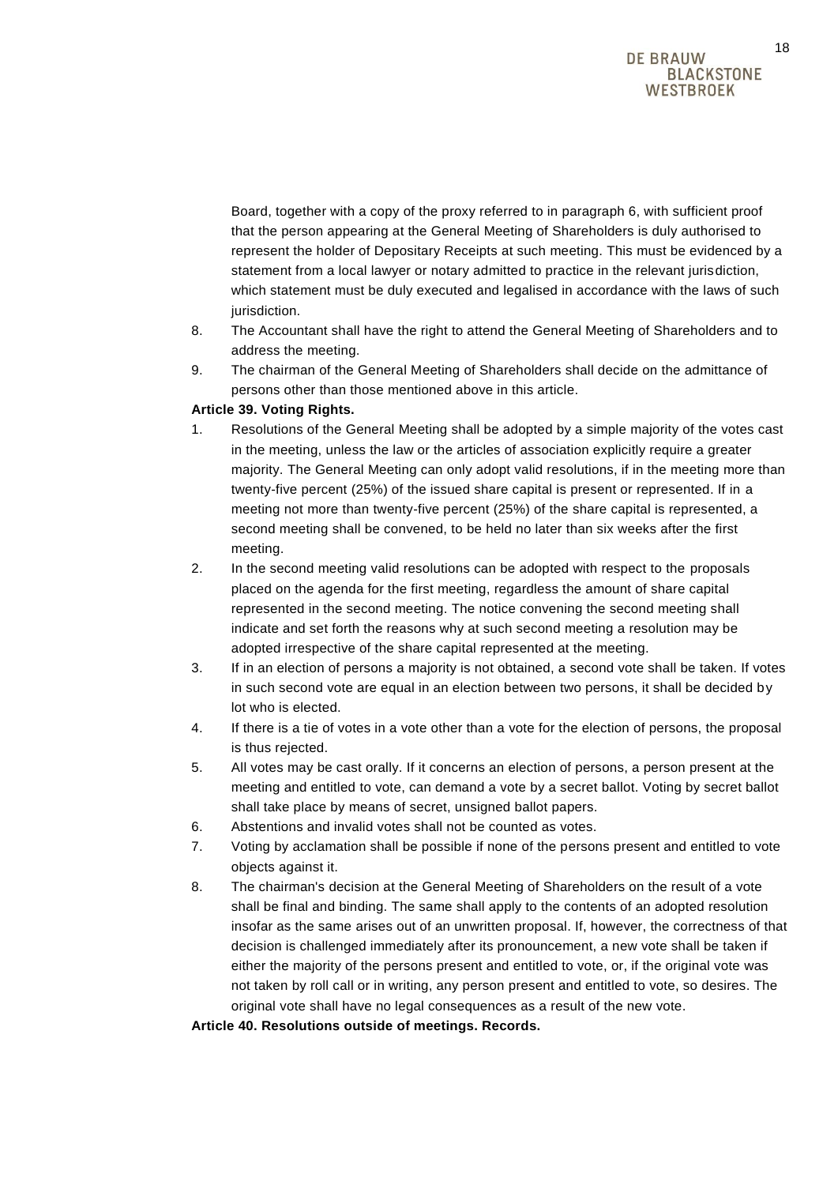Board, together with a copy of the proxy referred to in paragraph 6, with sufficient proof that the person appearing at the General Meeting of Shareholders is duly authorised to represent the holder of Depositary Receipts at such meeting. This must be evidenced by a statement from a local lawyer or notary admitted to practice in the relevant jurisdiction, which statement must be duly executed and legalised in accordance with the laws of such jurisdiction.

- 8. The Accountant shall have the right to attend the General Meeting of Shareholders and to address the meeting.
- 9. The chairman of the General Meeting of Shareholders shall decide on the admittance of persons other than those mentioned above in this article.

## **Article 39. Voting Rights.**

- 1. Resolutions of the General Meeting shall be adopted by a simple majority of the votes cast in the meeting, unless the law or the articles of association explicitly require a greater majority. The General Meeting can only adopt valid resolutions, if in the meeting more than twenty-five percent (25%) of the issued share capital is present or represented. If in a meeting not more than twenty-five percent (25%) of the share capital is represented, a second meeting shall be convened, to be held no later than six weeks after the first meeting.
- 2. In the second meeting valid resolutions can be adopted with respect to the proposals placed on the agenda for the first meeting, regardless the amount of share capital represented in the second meeting. The notice convening the second meeting shall indicate and set forth the reasons why at such second meeting a resolution may be adopted irrespective of the share capital represented at the meeting.
- 3. If in an election of persons a majority is not obtained, a second vote shall be taken. If votes in such second vote are equal in an election between two persons, it shall be decided by lot who is elected.
- 4. If there is a tie of votes in a vote other than a vote for the election of persons, the proposal is thus rejected.
- 5. All votes may be cast orally. If it concerns an election of persons, a person present at the meeting and entitled to vote, can demand a vote by a secret ballot. Voting by secret ballot shall take place by means of secret, unsigned ballot papers.
- 6. Abstentions and invalid votes shall not be counted as votes.
- 7. Voting by acclamation shall be possible if none of the persons present and entitled to vote objects against it.
- 8. The chairman's decision at the General Meeting of Shareholders on the result of a vote shall be final and binding. The same shall apply to the contents of an adopted resolution insofar as the same arises out of an unwritten proposal. If, however, the correctness of that decision is challenged immediately after its pronouncement, a new vote shall be taken if either the majority of the persons present and entitled to vote, or, if the original vote was not taken by roll call or in writing, any person present and entitled to vote, so desires. The original vote shall have no legal consequences as a result of the new vote.

**Article 40. Resolutions outside of meetings. Records.**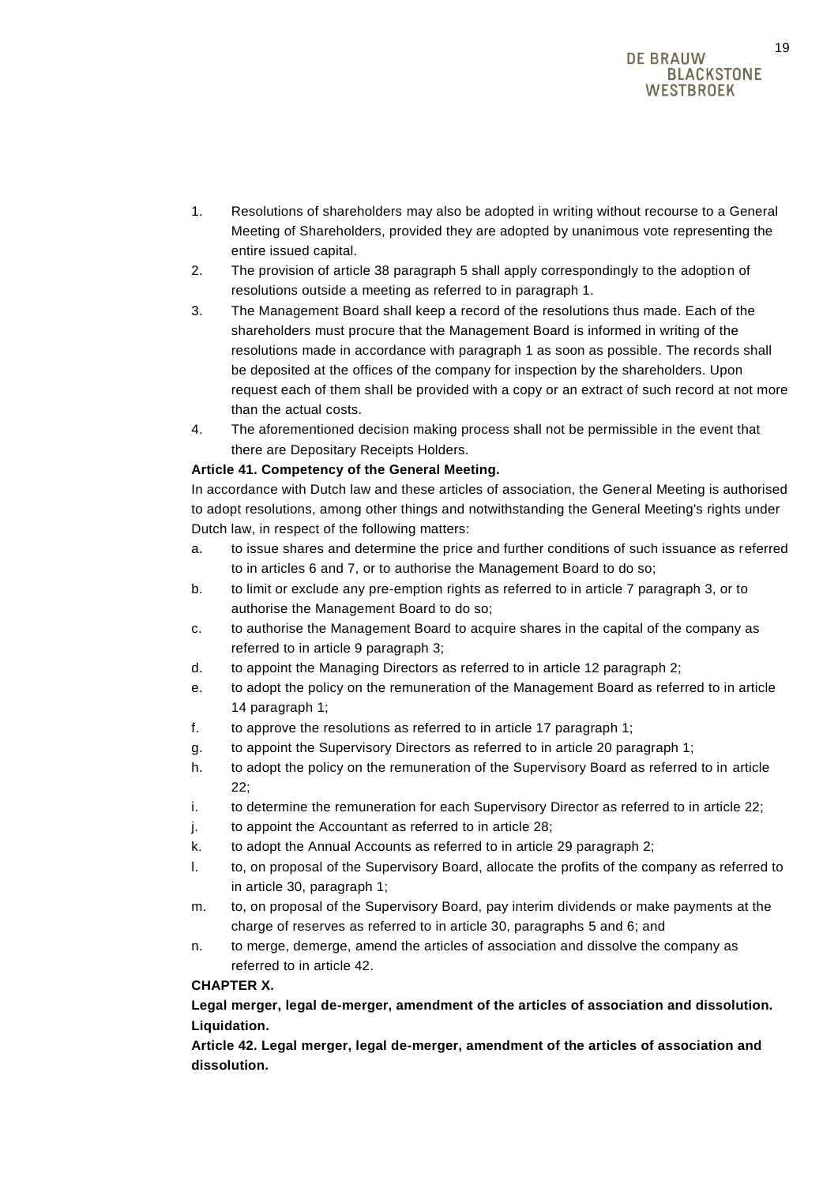- 1. Resolutions of shareholders may also be adopted in writing without recourse to a General Meeting of Shareholders, provided they are adopted by unanimous vote representing the entire issued capital.
- 2. The provision of article 38 paragraph 5 shall apply correspondingly to the adoption of resolutions outside a meeting as referred to in paragraph 1.
- 3. The Management Board shall keep a record of the resolutions thus made. Each of the shareholders must procure that the Management Board is informed in writing of the resolutions made in accordance with paragraph 1 as soon as possible. The records shall be deposited at the offices of the company for inspection by the shareholders. Upon request each of them shall be provided with a copy or an extract of such record at not more than the actual costs.
- 4. The aforementioned decision making process shall not be permissible in the event that there are Depositary Receipts Holders.

## **Article 41. Competency of the General Meeting.**

In accordance with Dutch law and these articles of association, the General Meeting is authorised to adopt resolutions, among other things and notwithstanding the General Meeting's rights under Dutch law, in respect of the following matters:

- a. to issue shares and determine the price and further conditions of such issuance as referred to in articles 6 and 7, or to authorise the Management Board to do so;
- b. to limit or exclude any pre-emption rights as referred to in article 7 paragraph 3, or to authorise the Management Board to do so;
- c. to authorise the Management Board to acquire shares in the capital of the company as referred to in article 9 paragraph 3;
- d. to appoint the Managing Directors as referred to in article 12 paragraph 2;
- e. to adopt the policy on the remuneration of the Management Board as referred to in article 14 paragraph 1;
- f. to approve the resolutions as referred to in article 17 paragraph 1;
- g. to appoint the Supervisory Directors as referred to in article 20 paragraph 1;
- h. to adopt the policy on the remuneration of the Supervisory Board as referred to in article 22;
- i. to determine the remuneration for each Supervisory Director as referred to in article 22;
- j. to appoint the Accountant as referred to in article 28;
- k. to adopt the Annual Accounts as referred to in article 29 paragraph 2;
- l. to, on proposal of the Supervisory Board, allocate the profits of the company as referred to in article 30, paragraph 1;
- m. to, on proposal of the Supervisory Board, pay interim dividends or make payments at the charge of reserves as referred to in article 30, paragraphs 5 and 6; and
- n. to merge, demerge, amend the articles of association and dissolve the company as referred to in article 42.

## **CHAPTER X.**

**Legal merger, legal de-merger, amendment of the articles of association and dissolution. Liquidation.**

**Article 42. Legal merger, legal de-merger, amendment of the articles of association and dissolution.**